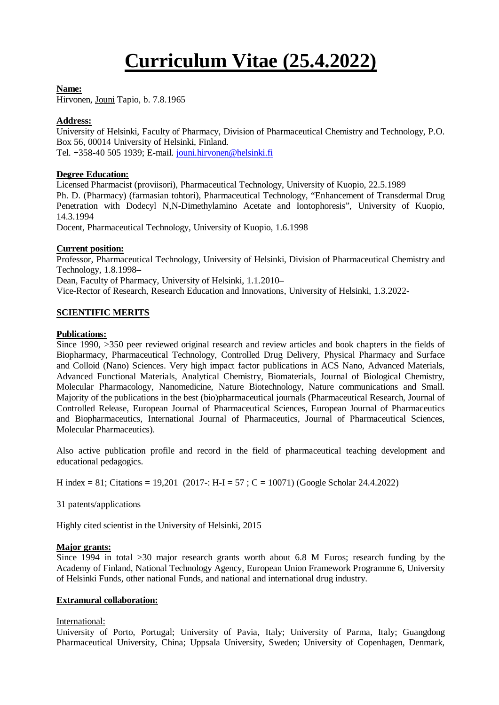# **Curriculum Vitae (25.4.2022)**

#### **Name:**

Hirvonen, Jouni Tapio, b. 7.8.1965

## **Address:**

University of Helsinki, Faculty of Pharmacy, Division of Pharmaceutical Chemistry and Technology, P.O. Box 56, 00014 University of Helsinki, Finland. Tel. +358-40 505 1939; E-mail. jouni.hirvonen@helsinki.fi

## **Degree Education:**

Licensed Pharmacist (proviisori), Pharmaceutical Technology, University of Kuopio, 22.5.1989 Ph. D. (Pharmacy) (farmasian tohtori), Pharmaceutical Technology, "Enhancement of Transdermal Drug Penetration with Dodecyl N,N-Dimethylamino Acetate and Iontophoresis", University of Kuopio, 14.3.1994

Docent, Pharmaceutical Technology, University of Kuopio, 1.6.1998

## **Current position:**

Professor, Pharmaceutical Technology, University of Helsinki, Division of Pharmaceutical Chemistry and Technology, 1.8.1998–

Dean, Faculty of Pharmacy, University of Helsinki, 1.1.2010–

Vice-Rector of Research, Research Education and Innovations, University of Helsinki, 1.3.2022-

# **SCIENTIFIC MERITS**

#### **Publications:**

Since 1990, >350 peer reviewed original research and review articles and book chapters in the fields of Biopharmacy, Pharmaceutical Technology, Controlled Drug Delivery, Physical Pharmacy and Surface and Colloid (Nano) Sciences. Very high impact factor publications in ACS Nano, Advanced Materials, Advanced Functional Materials, Analytical Chemistry, Biomaterials, Journal of Biological Chemistry, Molecular Pharmacology, Nanomedicine, Nature Biotechnology, Nature communications and Small. Majority of the publications in the best (bio)pharmaceutical journals (Pharmaceutical Research, Journal of Controlled Release, European Journal of Pharmaceutical Sciences, European Journal of Pharmaceutics and Biopharmaceutics, International Journal of Pharmaceutics, Journal of Pharmaceutical Sciences, Molecular Pharmaceutics).

Also active publication profile and record in the field of pharmaceutical teaching development and educational pedagogics.

H index = 81; Citations = 19,201 (2017-: H-I = 57; C = 10071) (Google Scholar 24.4.2022)

31 patents/applications

Highly cited scientist in the University of Helsinki, 2015

#### **Major grants:**

Since 1994 in total >30 major research grants worth about 6.8 M Euros; research funding by the Academy of Finland, National Technology Agency, European Union Framework Programme 6, University of Helsinki Funds, other national Funds, and national and international drug industry.

#### **Extramural collaboration:**

# International:

University of Porto, Portugal; University of Pavia, Italy; University of Parma, Italy; Guangdong Pharmaceutical University, China; Uppsala University, Sweden; University of Copenhagen, Denmark,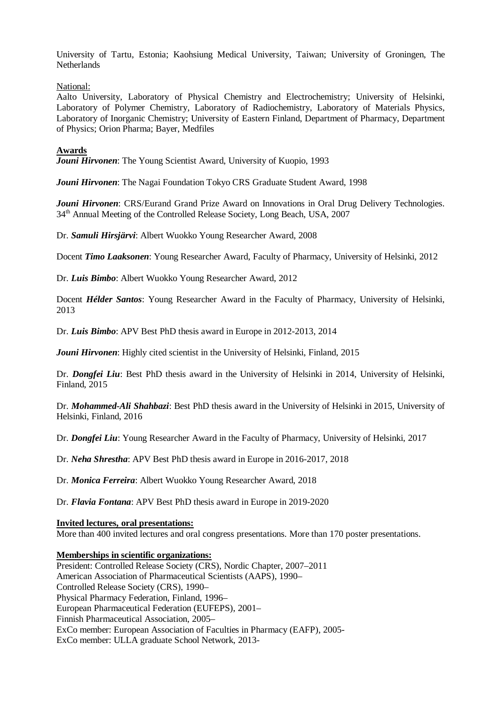University of Tartu, Estonia; Kaohsiung Medical University, Taiwan; University of Groningen, The Netherlands

National:

Aalto University, Laboratory of Physical Chemistry and Electrochemistry; University of Helsinki, Laboratory of Polymer Chemistry, Laboratory of Radiochemistry, Laboratory of Materials Physics, Laboratory of Inorganic Chemistry; University of Eastern Finland, Department of Pharmacy, Department of Physics; Orion Pharma; Bayer, Medfiles

## **Awards**

*Jouni Hirvonen*: The Young Scientist Award, University of Kuopio, 1993

*Jouni Hirvonen*: The Nagai Foundation Tokyo CRS Graduate Student Award, 1998

*Jouni Hirvonen*: CRS/Eurand Grand Prize Award on Innovations in Oral Drug Delivery Technologies. 34<sup>th</sup> Annual Meeting of the Controlled Release Society, Long Beach, USA, 2007

Dr. *Samuli Hirsjärvi*: Albert Wuokko Young Researcher Award, 2008

Docent *Timo Laaksonen*: Young Researcher Award, Faculty of Pharmacy, University of Helsinki, 2012

Dr. *Luis Bimbo*: Albert Wuokko Young Researcher Award, 2012

Docent *Hélder Santos*: Young Researcher Award in the Faculty of Pharmacy, University of Helsinki, 2013

Dr. *Luis Bimbo*: APV Best PhD thesis award in Europe in 2012-2013, 2014

*Jouni Hirvonen*: Highly cited scientist in the University of Helsinki, Finland, 2015

Dr. *Dongfei Liu*: Best PhD thesis award in the University of Helsinki in 2014, University of Helsinki, Finland, 2015

Dr. *Mohammed-Ali Shahbazi*: Best PhD thesis award in the University of Helsinki in 2015, University of Helsinki, Finland, 2016

Dr. *Dongfei Liu*: Young Researcher Award in the Faculty of Pharmacy, University of Helsinki, 2017

Dr. *Neha Shrestha*: APV Best PhD thesis award in Europe in 2016-2017, 2018

Dr. *Monica Ferreira*: Albert Wuokko Young Researcher Award, 2018

Dr. *Flavia Fontana*: APV Best PhD thesis award in Europe in 2019-2020

#### **Invited lectures, oral presentations:**

More than 400 invited lectures and oral congress presentations. More than 170 poster presentations.

#### **Memberships in scientific organizations:**

President: Controlled Release Society (CRS), Nordic Chapter, 2007–2011 American Association of Pharmaceutical Scientists (AAPS), 1990– Controlled Release Society (CRS), 1990– Physical Pharmacy Federation, Finland, 1996– European Pharmaceutical Federation (EUFEPS), 2001– Finnish Pharmaceutical Association, 2005– ExCo member: European Association of Faculties in Pharmacy (EAFP), 2005- ExCo member: ULLA graduate School Network, 2013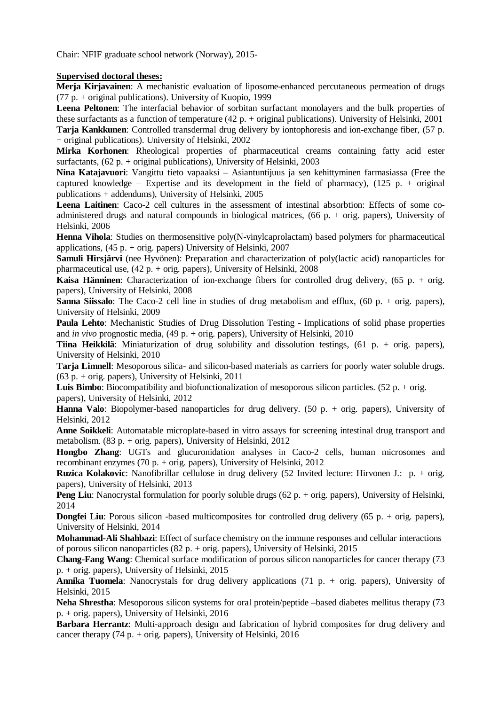Chair: NFIF graduate school network (Norway), 2015-

#### **Supervised doctoral theses:**

**Merja Kirjavainen**: A mechanistic evaluation of liposome-enhanced percutaneous permeation of drugs (77 p. + original publications). University of Kuopio, 1999

**Leena Peltonen**: The interfacial behavior of sorbitan surfactant monolayers and the bulk properties of these surfactants as a function of temperature (42 p. + original publications). University of Helsinki, 2001

**Tarja Kankkunen**: Controlled transdermal drug delivery by iontophoresis and ion-exchange fiber, (57 p. + original publications). University of Helsinki, 2002

**Mirka Korhonen**: Rheological properties of pharmaceutical creams containing fatty acid ester surfactants, (62 p. + original publications), University of Helsinki, 2003

**Nina Katajavuori**: Vangittu tieto vapaaksi – Asiantuntijuus ja sen kehittyminen farmasiassa (Free the captured knowledge – Expertise and its development in the field of pharmacy),  $(125 p. + original)$ publications + addendums), University of Helsinki, 2005

Leena Laitinen: Caco-2 cell cultures in the assessment of intestinal absorbtion: Effects of some coadministered drugs and natural compounds in biological matrices, (66 p. + orig. papers), University of Helsinki, 2006

**Henna Vihola**: Studies on thermosensitive poly(N-vinylcaprolactam) based polymers for pharmaceutical applications, (45 p. + orig. papers) University of Helsinki, 2007

**Samuli Hirsjärvi** (nee Hyvönen): Preparation and characterization of poly(lactic acid) nanoparticles for pharmaceutical use,  $(42 p. + orig.$  papers), University of Helsinki, 2008

**Kaisa Hänninen**: Characterization of ion-exchange fibers for controlled drug delivery, (65 p. + orig. papers), University of Helsinki, 2008

**Sanna Siissalo**: The Caco-2 cell line in studies of drug metabolism and efflux, (60 p. + orig. papers), University of Helsinki, 2009

**Paula Lehto**: Mechanistic Studies of Drug Dissolution Testing - Implications of solid phase properties and *in vivo* prognostic media, (49 p. + orig. papers), University of Helsinki, 2010

**Tiina Heikkilä**: Miniaturization of drug solubility and dissolution testings, (61 p. + orig. papers), University of Helsinki, 2010

**Tarja Limnell**: Mesoporous silica- and silicon-based materials as carriers for poorly water soluble drugs. (63 p. + orig. papers), University of Helsinki, 2011

**Luis Bimbo**: Biocompatibility and biofunctionalization of mesoporous silicon particles. (52 p. + orig. papers), University of Helsinki, 2012

**Hanna Valo**: Biopolymer-based nanoparticles for drug delivery. (50 p. + orig. papers), University of Helsinki, 2012

**Anne Soikkeli**: Automatable microplate-based in vitro assays for screening intestinal drug transport and metabolism. (83 p. + orig. papers), University of Helsinki, 2012

**Hongbo Zhang**: UGTs and glucuronidation analyses in Caco-2 cells, human microsomes and recombinant enzymes (70 p. + orig. papers), University of Helsinki, 2012

**Ruzica Kolakovic**: Nanofibrillar cellulose in drug delivery (52 Invited lecture: Hirvonen J.: p. + orig. papers), University of Helsinki, 2013

**Peng Liu**: Nanocrystal formulation for poorly soluble drugs (62 p. + orig. papers), University of Helsinki, 2014

**Dongfei Liu**: Porous silicon -based multicomposites for controlled drug delivery (65 p. + orig. papers), University of Helsinki, 2014

**Mohammad-Ali Shahbazi**: Effect of surface chemistry on the immune responses and cellular interactions of porous silicon nanoparticles (82 p. + orig. papers), University of Helsinki, 2015

**Chang-Fang Wang**: Chemical surface modification of porous silicon nanoparticles for cancer therapy (73 p. + orig. papers), University of Helsinki, 2015

**Annika Tuomela**: Nanocrystals for drug delivery applications (71 p. + orig. papers), University of Helsinki, 2015

**Neha Shrestha**: Mesoporous silicon systems for oral protein/peptide –based diabetes mellitus therapy (73 p. + orig. papers), University of Helsinki, 2016

**Barbara Herrantz**: Multi-approach design and fabrication of hybrid composites for drug delivery and cancer therapy (74 p. + orig. papers), University of Helsinki,  $2016$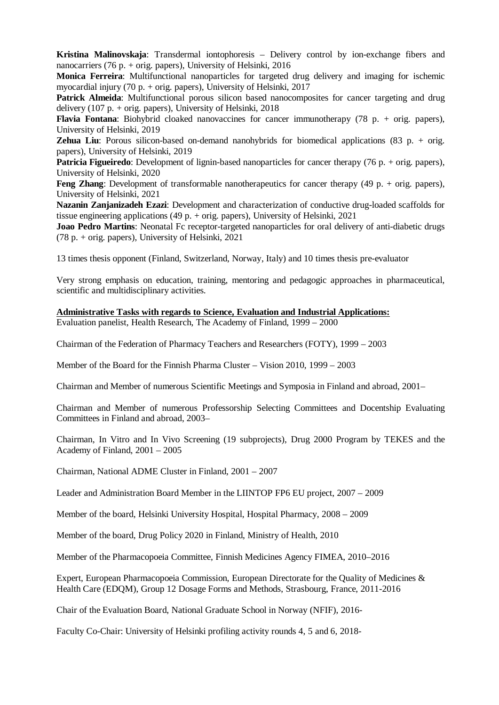**Kristina Malinovskaja**: Transdermal iontophoresis – Delivery control by ion-exchange fibers and nanocarriers (76 p. + orig. papers), University of Helsinki, 2016

**Monica Ferreira**: Multifunctional nanoparticles for targeted drug delivery and imaging for ischemic myocardial injury (70 p. + orig. papers), University of Helsinki, 2017

**Patrick Almeida**: Multifunctional porous silicon based nanocomposites for cancer targeting and drug delivery (107 p. + orig. papers), University of Helsinki,  $2018$ 

**Flavia Fontana**: Biohybrid cloaked nanovaccines for cancer immunotherapy (78 p. + orig. papers), University of Helsinki, 2019

**Zehua Liu**: Porous silicon-based on-demand nanohybrids for biomedical applications (83 p. + orig. papers), University of Helsinki, 2019

**Patricia Figueiredo**: Development of lignin-based nanoparticles for cancer therapy (76 p. + orig. papers), University of Helsinki, 2020

**Feng Zhang**: Development of transformable nanotherapeutics for cancer therapy (49 p. + orig. papers), University of Helsinki, 2021

**Nazanin Zanjanizadeh Ezazi**: Development and characterization of conductive drug-loaded scaffolds for tissue engineering applications (49 p. + orig. papers), University of Helsinki, 2021

**Joao Pedro Martins**: Neonatal Fc receptor-targeted nanoparticles for oral delivery of anti-diabetic drugs  $(78 p. + orig. papers)$ , University of Helsinki, 2021

13 times thesis opponent (Finland, Switzerland, Norway, Italy) and 10 times thesis pre-evaluator

Very strong emphasis on education, training, mentoring and pedagogic approaches in pharmaceutical, scientific and multidisciplinary activities.

**Administrative Tasks with regards to Science, Evaluation and Industrial Applications:**

Evaluation panelist, Health Research, The Academy of Finland, 1999 – 2000

Chairman of the Federation of Pharmacy Teachers and Researchers (FOTY), 1999 – 2003

Member of the Board for the Finnish Pharma Cluster – Vision 2010, 1999 – 2003

Chairman and Member of numerous Scientific Meetings and Symposia in Finland and abroad, 2001–

Chairman and Member of numerous Professorship Selecting Committees and Docentship Evaluating Committees in Finland and abroad, 2003–

Chairman, In Vitro and In Vivo Screening (19 subprojects), Drug 2000 Program by TEKES and the Academy of Finland, 2001 – 2005

Chairman, National ADME Cluster in Finland, 2001 – 2007

Leader and Administration Board Member in the LIINTOP FP6 EU project, 2007 – 2009

Member of the board, Helsinki University Hospital, Hospital Pharmacy, 2008 – 2009

Member of the board, Drug Policy 2020 in Finland, Ministry of Health, 2010

Member of the Pharmacopoeia Committee, Finnish Medicines Agency FIMEA, 2010–2016

Expert, European Pharmacopoeia Commission, European Directorate for the Quality of Medicines & Health Care (EDQM), Group 12 Dosage Forms and Methods, Strasbourg, France, 2011-2016

Chair of the Evaluation Board, National Graduate School in Norway (NFIF), 2016-

Faculty Co-Chair: University of Helsinki profiling activity rounds 4, 5 and 6, 2018-